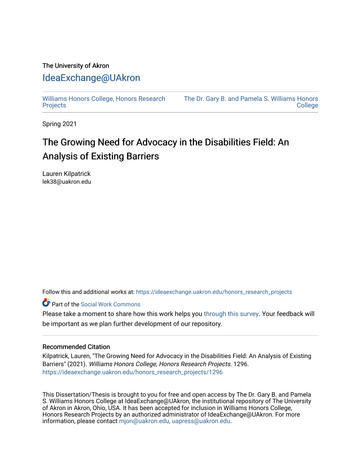## The University of Akron [IdeaExchange@UAkron](https://ideaexchange.uakron.edu/)

[Williams Honors College, Honors Research](https://ideaexchange.uakron.edu/honors_research_projects)  **[Projects](https://ideaexchange.uakron.edu/honors_research_projects)** 

[The Dr. Gary B. and Pamela S. Williams Honors](https://ideaexchange.uakron.edu/honorscollege_ideas)  **College** 

Spring 2021

# The Growing Need for Advocacy in the Disabilities Field: An Analysis of Existing Barriers

Lauren Kilpatrick lek38@uakron.edu

Follow this and additional works at: [https://ideaexchange.uakron.edu/honors\\_research\\_projects](https://ideaexchange.uakron.edu/honors_research_projects?utm_source=ideaexchange.uakron.edu%2Fhonors_research_projects%2F1296&utm_medium=PDF&utm_campaign=PDFCoverPages) 

Part of the [Social Work Commons](http://network.bepress.com/hgg/discipline/713?utm_source=ideaexchange.uakron.edu%2Fhonors_research_projects%2F1296&utm_medium=PDF&utm_campaign=PDFCoverPages)

Please take a moment to share how this work helps you [through this survey](http://survey.az1.qualtrics.com/SE/?SID=SV_eEVH54oiCbOw05f&URL=https://ideaexchange.uakron.edu/honors_research_projects/1296). Your feedback will be important as we plan further development of our repository.

## Recommended Citation

Kilpatrick, Lauren, "The Growing Need for Advocacy in the Disabilities Field: An Analysis of Existing Barriers" (2021). Williams Honors College, Honors Research Projects. 1296. [https://ideaexchange.uakron.edu/honors\\_research\\_projects/1296](https://ideaexchange.uakron.edu/honors_research_projects/1296?utm_source=ideaexchange.uakron.edu%2Fhonors_research_projects%2F1296&utm_medium=PDF&utm_campaign=PDFCoverPages) 

This Dissertation/Thesis is brought to you for free and open access by The Dr. Gary B. and Pamela S. Williams Honors College at IdeaExchange@UAkron, the institutional repository of The University of Akron in Akron, Ohio, USA. It has been accepted for inclusion in Williams Honors College, Honors Research Projects by an authorized administrator of IdeaExchange@UAkron. For more information, please contact [mjon@uakron.edu, uapress@uakron.edu.](mailto:mjon@uakron.edu,%20uapress@uakron.edu)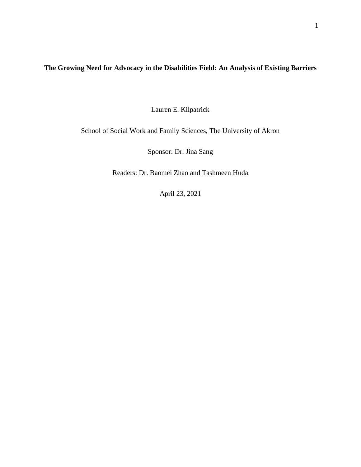## **The Growing Need for Advocacy in the Disabilities Field: An Analysis of Existing Barriers**

Lauren E. Kilpatrick

School of Social Work and Family Sciences, The University of Akron

Sponsor: Dr. Jina Sang

Readers: Dr. Baomei Zhao and Tashmeen Huda

April 23, 2021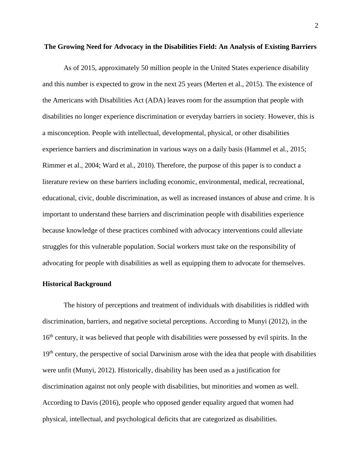#### **The Growing Need for Advocacy in the Disabilities Field: An Analysis of Existing Barriers**

As of 2015, approximately 50 million people in the United States experience disability and this number is expected to grow in the next 25 years (Merten et al., 2015). The existence of the Americans with Disabilities Act (ADA) leaves room for the assumption that people with disabilities no longer experience discrimination or everyday barriers in society. However, this is a misconception. People with intellectual, developmental, physical, or other disabilities experience barriers and discrimination in various ways on a daily basis (Hammel et al., 2015; Rimmer et al., 2004; Ward et al., 2010). Therefore, the purpose of this paper is to conduct a literature review on these barriers including economic, environmental, medical, recreational, educational, civic, double discrimination, as well as increased instances of abuse and crime. It is important to understand these barriers and discrimination people with disabilities experience because knowledge of these practices combined with advocacy interventions could alleviate struggles for this vulnerable population. Social workers must take on the responsibility of advocating for people with disabilities as well as equipping them to advocate for themselves.

## **Historical Background**

The history of perceptions and treatment of individuals with disabilities is riddled with discrimination, barriers, and negative societal perceptions. According to Munyi (2012), in the 16<sup>th</sup> century, it was believed that people with disabilities were possessed by evil spirits. In the 19<sup>th</sup> century, the perspective of social Darwinism arose with the idea that people with disabilities were unfit (Munyi, 2012). Historically, disability has been used as a justification for discrimination against not only people with disabilities, but minorities and women as well. According to Davis (2016), people who opposed gender equality argued that women had physical, intellectual, and psychological deficits that are categorized as disabilities.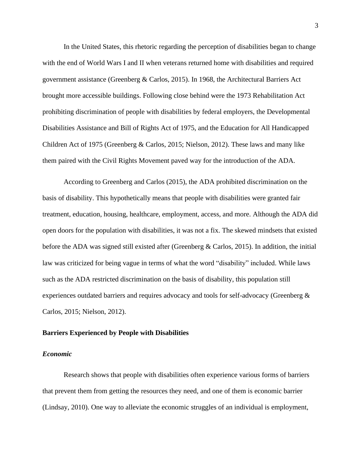In the United States, this rhetoric regarding the perception of disabilities began to change with the end of World Wars I and II when veterans returned home with disabilities and required government assistance (Greenberg & Carlos, 2015). In 1968, the Architectural Barriers Act brought more accessible buildings. Following close behind were the 1973 Rehabilitation Act prohibiting discrimination of people with disabilities by federal employers, the Developmental Disabilities Assistance and Bill of Rights Act of 1975, and the Education for All Handicapped Children Act of 1975 (Greenberg & Carlos, 2015; Nielson, 2012). These laws and many like them paired with the Civil Rights Movement paved way for the introduction of the ADA.

According to Greenberg and Carlos (2015), the ADA prohibited discrimination on the basis of disability. This hypothetically means that people with disabilities were granted fair treatment, education, housing, healthcare, employment, access, and more. Although the ADA did open doors for the population with disabilities, it was not a fix. The skewed mindsets that existed before the ADA was signed still existed after (Greenberg & Carlos, 2015). In addition, the initial law was criticized for being vague in terms of what the word "disability" included. While laws such as the ADA restricted discrimination on the basis of disability, this population still experiences outdated barriers and requires advocacy and tools for self-advocacy (Greenberg & Carlos, 2015; Nielson, 2012).

## **Barriers Experienced by People with Disabilities**

#### *Economic*

Research shows that people with disabilities often experience various forms of barriers that prevent them from getting the resources they need, and one of them is economic barrier (Lindsay, 2010). One way to alleviate the economic struggles of an individual is employment,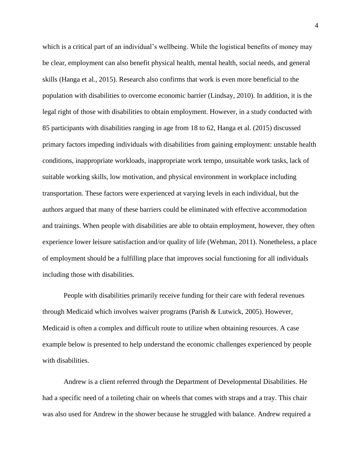which is a critical part of an individual's wellbeing. While the logistical benefits of money may be clear, employment can also benefit physical health, mental health, social needs, and general skills (Hanga et al., 2015). Research also confirms that work is even more beneficial to the population with disabilities to overcome economic barrier (Lindsay, 2010). In addition, it is the legal right of those with disabilities to obtain employment. However, in a study conducted with 85 participants with disabilities ranging in age from 18 to 62, Hanga et al. (2015) discussed primary factors impeding individuals with disabilities from gaining employment: unstable health conditions, inappropriate workloads, inappropriate work tempo, unsuitable work tasks, lack of suitable working skills, low motivation, and physical environment in workplace including transportation. These factors were experienced at varying levels in each individual, but the authors argued that many of these barriers could be eliminated with effective accommodation and trainings. When people with disabilities are able to obtain employment, however, they often experience lower leisure satisfaction and/or quality of life (Wehman, 2011). Nonetheless, a place of employment should be a fulfilling place that improves social functioning for all individuals including those with disabilities.

People with disabilities primarily receive funding for their care with federal revenues through Medicaid which involves waiver programs (Parish & Lutwick, 2005). However, Medicaid is often a complex and difficult route to utilize when obtaining resources. A case example below is presented to help understand the economic challenges experienced by people with disabilities.

Andrew is a client referred through the Department of Developmental Disabilities. He had a specific need of a toileting chair on wheels that comes with straps and a tray. This chair was also used for Andrew in the shower because he struggled with balance. Andrew required a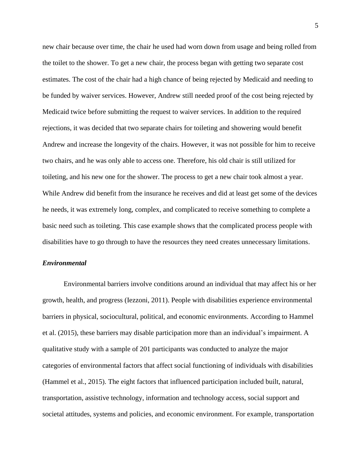new chair because over time, the chair he used had worn down from usage and being rolled from the toilet to the shower. To get a new chair, the process began with getting two separate cost estimates. The cost of the chair had a high chance of being rejected by Medicaid and needing to be funded by waiver services. However, Andrew still needed proof of the cost being rejected by Medicaid twice before submitting the request to waiver services. In addition to the required rejections, it was decided that two separate chairs for toileting and showering would benefit Andrew and increase the longevity of the chairs. However, it was not possible for him to receive two chairs, and he was only able to access one. Therefore, his old chair is still utilized for toileting, and his new one for the shower. The process to get a new chair took almost a year. While Andrew did benefit from the insurance he receives and did at least get some of the devices he needs, it was extremely long, complex, and complicated to receive something to complete a basic need such as toileting. This case example shows that the complicated process people with disabilities have to go through to have the resources they need creates unnecessary limitations.

## *Environmental*

Environmental barriers involve conditions around an individual that may affect his or her growth, health, and progress (Iezzoni, 2011). People with disabilities experience environmental barriers in physical, sociocultural, political, and economic environments. According to Hammel et al. (2015), these barriers may disable participation more than an individual's impairment. A qualitative study with a sample of 201 participants was conducted to analyze the major categories of environmental factors that affect social functioning of individuals with disabilities (Hammel et al., 2015). The eight factors that influenced participation included built, natural, transportation, assistive technology, information and technology access, social support and societal attitudes, systems and policies, and economic environment. For example, transportation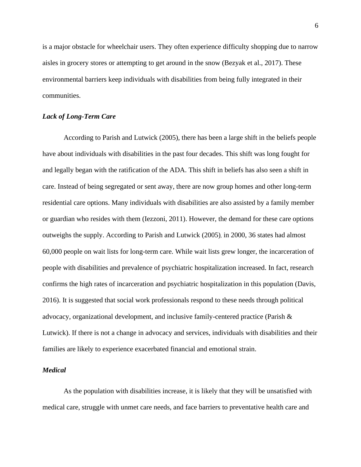is a major obstacle for wheelchair users. They often experience difficulty shopping due to narrow aisles in grocery stores or attempting to get around in the snow (Bezyak et al., 2017). These environmental barriers keep individuals with disabilities from being fully integrated in their communities.

## *Lack of Long-Term Care*

According to Parish and Lutwick (2005), there has been a large shift in the beliefs people have about individuals with disabilities in the past four decades. This shift was long fought for and legally began with the ratification of the ADA. This shift in beliefs has also seen a shift in care. Instead of being segregated or sent away, there are now group homes and other long-term residential care options. Many individuals with disabilities are also assisted by a family member or guardian who resides with them (Iezzoni, 2011). However, the demand for these care options outweighs the supply. According to Parish and Lutwick (2005), in 2000, 36 states had almost 60,000 people on wait lists for long-term care. While wait lists grew longer, the incarceration of people with disabilities and prevalence of psychiatric hospitalization increased. In fact, research confirms the high rates of incarceration and psychiatric hospitalization in this population (Davis, 2016). It is suggested that social work professionals respond to these needs through political advocacy, organizational development, and inclusive family-centered practice (Parish & Lutwick). If there is not a change in advocacy and services, individuals with disabilities and their families are likely to experience exacerbated financial and emotional strain.

## *Medical*

As the population with disabilities increase, it is likely that they will be unsatisfied with medical care, struggle with unmet care needs, and face barriers to preventative health care and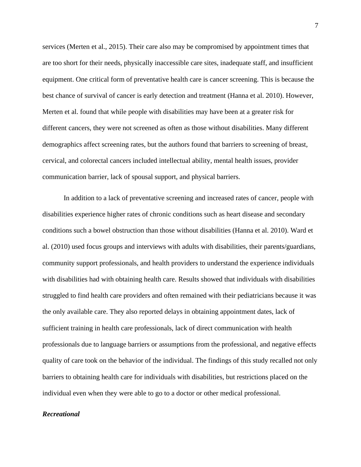services (Merten et al., 2015). Their care also may be compromised by appointment times that are too short for their needs, physically inaccessible care sites, inadequate staff, and insufficient equipment. One critical form of preventative health care is cancer screening. This is because the best chance of survival of cancer is early detection and treatment (Hanna et al. 2010). However, Merten et al. found that while people with disabilities may have been at a greater risk for different cancers, they were not screened as often as those without disabilities. Many different demographics affect screening rates, but the authors found that barriers to screening of breast, cervical, and colorectal cancers included intellectual ability, mental health issues, provider communication barrier, lack of spousal support, and physical barriers.

In addition to a lack of preventative screening and increased rates of cancer, people with disabilities experience higher rates of chronic conditions such as heart disease and secondary conditions such a bowel obstruction than those without disabilities (Hanna et al. 2010). Ward et al. (2010) used focus groups and interviews with adults with disabilities, their parents/guardians, community support professionals, and health providers to understand the experience individuals with disabilities had with obtaining health care. Results showed that individuals with disabilities struggled to find health care providers and often remained with their pediatricians because it was the only available care. They also reported delays in obtaining appointment dates, lack of sufficient training in health care professionals, lack of direct communication with health professionals due to language barriers or assumptions from the professional, and negative effects quality of care took on the behavior of the individual. The findings of this study recalled not only barriers to obtaining health care for individuals with disabilities, but restrictions placed on the individual even when they were able to go to a doctor or other medical professional.

## *Recreational*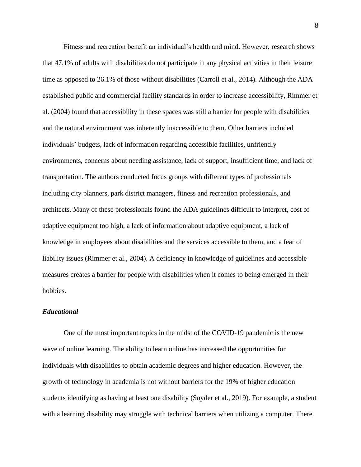Fitness and recreation benefit an individual's health and mind. However, research shows that 47.1% of adults with disabilities do not participate in any physical activities in their leisure time as opposed to 26.1% of those without disabilities (Carroll et al., 2014). Although the ADA established public and commercial facility standards in order to increase accessibility, Rimmer et al. (2004) found that accessibility in these spaces was still a barrier for people with disabilities and the natural environment was inherently inaccessible to them. Other barriers included individuals' budgets, lack of information regarding accessible facilities, unfriendly environments, concerns about needing assistance, lack of support, insufficient time, and lack of transportation. The authors conducted focus groups with different types of professionals including city planners, park district managers, fitness and recreation professionals, and architects. Many of these professionals found the ADA guidelines difficult to interpret, cost of adaptive equipment too high, a lack of information about adaptive equipment, a lack of knowledge in employees about disabilities and the services accessible to them, and a fear of liability issues (Rimmer et al., 2004). A deficiency in knowledge of guidelines and accessible measures creates a barrier for people with disabilities when it comes to being emerged in their hobbies.

## *Educational*

One of the most important topics in the midst of the COVID-19 pandemic is the new wave of online learning. The ability to learn online has increased the opportunities for individuals with disabilities to obtain academic degrees and higher education. However, the growth of technology in academia is not without barriers for the 19% of higher education students identifying as having at least one disability (Snyder et al., 2019). For example, a student with a learning disability may struggle with technical barriers when utilizing a computer. There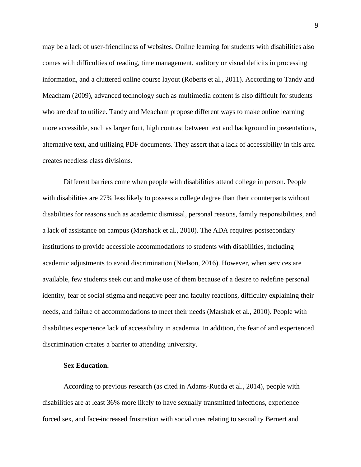may be a lack of user-friendliness of websites. Online learning for students with disabilities also comes with difficulties of reading, time management, auditory or visual deficits in processing information, and a cluttered online course layout (Roberts et al., 2011). According to Tandy and Meacham (2009), advanced technology such as multimedia content is also difficult for students who are deaf to utilize. Tandy and Meacham propose different ways to make online learning more accessible, such as larger font, high contrast between text and background in presentations, alternative text, and utilizing PDF documents. They assert that a lack of accessibility in this area creates needless class divisions.

Different barriers come when people with disabilities attend college in person. People with disabilities are 27% less likely to possess a college degree than their counterparts without disabilities for reasons such as academic dismissal, personal reasons, family responsibilities, and a lack of assistance on campus (Marshack et al., 2010). The ADA requires postsecondary institutions to provide accessible accommodations to students with disabilities, including academic adjustments to avoid discrimination (Nielson, 2016). However, when services are available, few students seek out and make use of them because of a desire to redefine personal identity, fear of social stigma and negative peer and faculty reactions, difficulty explaining their needs, and failure of accommodations to meet their needs (Marshak et al., 2010). People with disabilities experience lack of accessibility in academia. In addition, the fear of and experienced discrimination creates a barrier to attending university.

## **Sex Education.**

According to previous research (as cited in Adams-Rueda et al., 2014), people with disabilities are at least 36% more likely to have sexually transmitted infections, experience forced sex, and face increased frustration with social cues relating to sexuality Bernert and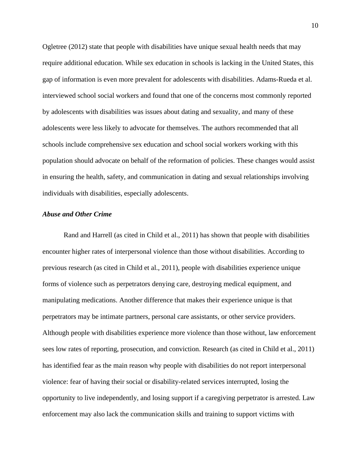Ogletree (2012) state that people with disabilities have unique sexual health needs that may require additional education. While sex education in schools is lacking in the United States, this gap of information is even more prevalent for adolescents with disabilities. Adams-Rueda et al. interviewed school social workers and found that one of the concerns most commonly reported by adolescents with disabilities was issues about dating and sexuality, and many of these adolescents were less likely to advocate for themselves. The authors recommended that all schools include comprehensive sex education and school social workers working with this population should advocate on behalf of the reformation of policies. These changes would assist in ensuring the health, safety, and communication in dating and sexual relationships involving individuals with disabilities, especially adolescents.

## *Abuse and Other Crime*

Rand and Harrell (as cited in Child et al., 2011) has shown that people with disabilities encounter higher rates of interpersonal violence than those without disabilities. According to previous research (as cited in Child et al., 2011), people with disabilities experience unique forms of violence such as perpetrators denying care, destroying medical equipment, and manipulating medications. Another difference that makes their experience unique is that perpetrators may be intimate partners, personal care assistants, or other service providers. Although people with disabilities experience more violence than those without, law enforcement sees low rates of reporting, prosecution, and conviction. Research (as cited in Child et al., 2011) has identified fear as the main reason why people with disabilities do not report interpersonal violence: fear of having their social or disability-related services interrupted, losing the opportunity to live independently, and losing support if a caregiving perpetrator is arrested. Law enforcement may also lack the communication skills and training to support victims with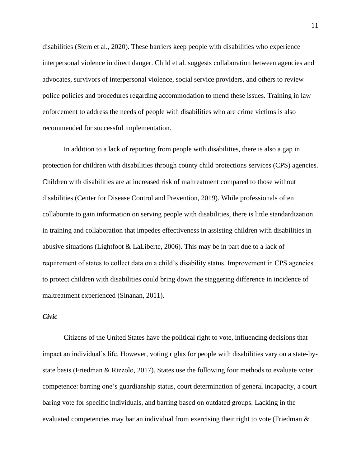disabilities (Stern et al., 2020). These barriers keep people with disabilities who experience interpersonal violence in direct danger. Child et al. suggests collaboration between agencies and advocates, survivors of interpersonal violence, social service providers, and others to review police policies and procedures regarding accommodation to mend these issues. Training in law enforcement to address the needs of people with disabilities who are crime victims is also recommended for successful implementation.

In addition to a lack of reporting from people with disabilities, there is also a gap in protection for children with disabilities through county child protections services (CPS) agencies. Children with disabilities are at increased risk of maltreatment compared to those without disabilities (Center for Disease Control and Prevention, 2019). While professionals often collaborate to gain information on serving people with disabilities, there is little standardization in training and collaboration that impedes effectiveness in assisting children with disabilities in abusive situations (Lightfoot & LaLiberte, 2006). This may be in part due to a lack of requirement of states to collect data on a child's disability status. Improvement in CPS agencies to protect children with disabilities could bring down the staggering difference in incidence of maltreatment experienced (Sinanan, 2011).

## *Civic*

Citizens of the United States have the political right to vote, influencing decisions that impact an individual's life. However, voting rights for people with disabilities vary on a state-bystate basis (Friedman & Rizzolo, 2017). States use the following four methods to evaluate voter competence: barring one's guardianship status, court determination of general incapacity, a court baring vote for specific individuals, and barring based on outdated groups. Lacking in the evaluated competencies may bar an individual from exercising their right to vote (Friedman &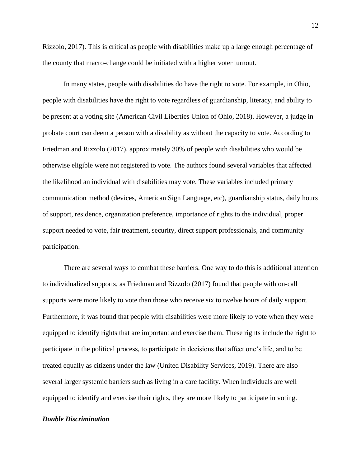Rizzolo, 2017). This is critical as people with disabilities make up a large enough percentage of the county that macro-change could be initiated with a higher voter turnout.

In many states, people with disabilities do have the right to vote. For example, in Ohio, people with disabilities have the right to vote regardless of guardianship, literacy, and ability to be present at a voting site (American Civil Liberties Union of Ohio, 2018). However, a judge in probate court can deem a person with a disability as without the capacity to vote. According to Friedman and Rizzolo (2017), approximately 30% of people with disabilities who would be otherwise eligible were not registered to vote. The authors found several variables that affected the likelihood an individual with disabilities may vote. These variables included primary communication method (devices, American Sign Language, etc), guardianship status, daily hours of support, residence, organization preference, importance of rights to the individual, proper support needed to vote, fair treatment, security, direct support professionals, and community participation.

There are several ways to combat these barriers. One way to do this is additional attention to individualized supports, as Friedman and Rizzolo (2017) found that people with on-call supports were more likely to vote than those who receive six to twelve hours of daily support. Furthermore, it was found that people with disabilities were more likely to vote when they were equipped to identify rights that are important and exercise them. These rights include the right to participate in the political process, to participate in decisions that affect one's life, and to be treated equally as citizens under the law (United Disability Services, 2019). There are also several larger systemic barriers such as living in a care facility. When individuals are well equipped to identify and exercise their rights, they are more likely to participate in voting.

## *Double Discrimination*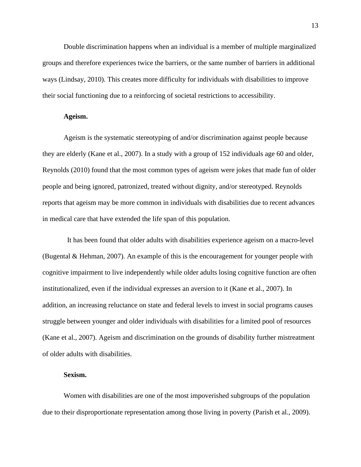Double discrimination happens when an individual is a member of multiple marginalized groups and therefore experiences twice the barriers, or the same number of barriers in additional ways (Lindsay, 2010). This creates more difficulty for individuals with disabilities to improve their social functioning due to a reinforcing of societal restrictions to accessibility.

## **Ageism.**

Ageism is the systematic stereotyping of and/or discrimination against people because they are elderly (Kane et al., 2007). In a study with a group of 152 individuals age 60 and older, Reynolds (2010) found that the most common types of ageism were jokes that made fun of older people and being ignored, patronized, treated without dignity, and/or stereotyped. Reynolds reports that ageism may be more common in individuals with disabilities due to recent advances in medical care that have extended the life span of this population.

It has been found that older adults with disabilities experience ageism on a macro-level (Bugental & Hehman, 2007). An example of this is the encouragement for younger people with cognitive impairment to live independently while older adults losing cognitive function are often institutionalized, even if the individual expresses an aversion to it (Kane et al., 2007). In addition, an increasing reluctance on state and federal levels to invest in social programs causes struggle between younger and older individuals with disabilities for a limited pool of resources (Kane et al., 2007). Ageism and discrimination on the grounds of disability further mistreatment of older adults with disabilities.

## **Sexism.**

Women with disabilities are one of the most impoverished subgroups of the population due to their disproportionate representation among those living in poverty (Parish et al., 2009).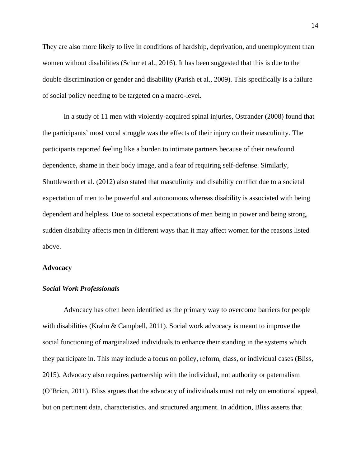They are also more likely to live in conditions of hardship, deprivation, and unemployment than women without disabilities (Schur et al., 2016). It has been suggested that this is due to the double discrimination or gender and disability (Parish et al., 2009). This specifically is a failure of social policy needing to be targeted on a macro-level.

In a study of 11 men with violently-acquired spinal injuries, Ostrander (2008) found that the participants' most vocal struggle was the effects of their injury on their masculinity. The participants reported feeling like a burden to intimate partners because of their newfound dependence, shame in their body image, and a fear of requiring self-defense. Similarly, Shuttleworth et al. (2012) also stated that masculinity and disability conflict due to a societal expectation of men to be powerful and autonomous whereas disability is associated with being dependent and helpless. Due to societal expectations of men being in power and being strong, sudden disability affects men in different ways than it may affect women for the reasons listed above.

#### **Advocacy**

## *Social Work Professionals*

Advocacy has often been identified as the primary way to overcome barriers for people with disabilities (Krahn & Campbell, 2011). Social work advocacy is meant to improve the social functioning of marginalized individuals to enhance their standing in the systems which they participate in. This may include a focus on policy, reform, class, or individual cases (Bliss, 2015). Advocacy also requires partnership with the individual, not authority or paternalism (O'Brien, 2011). Bliss argues that the advocacy of individuals must not rely on emotional appeal, but on pertinent data, characteristics, and structured argument. In addition, Bliss asserts that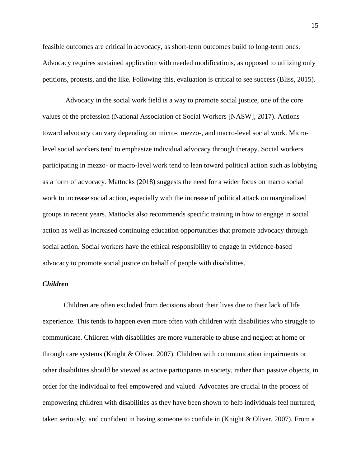feasible outcomes are critical in advocacy, as short-term outcomes build to long-term ones. Advocacy requires sustained application with needed modifications, as opposed to utilizing only petitions, protests, and the like. Following this, evaluation is critical to see success (Bliss, 2015).

Advocacy in the social work field is a way to promote social justice, one of the core values of the profession (National Association of Social Workers [NASW], 2017). Actions toward advocacy can vary depending on micro-, mezzo-, and macro-level social work. Microlevel social workers tend to emphasize individual advocacy through therapy. Social workers participating in mezzo- or macro-level work tend to lean toward political action such as lobbying as a form of advocacy. Mattocks (2018) suggests the need for a wider focus on macro social work to increase social action, especially with the increase of political attack on marginalized groups in recent years. Mattocks also recommends specific training in how to engage in social action as well as increased continuing education opportunities that promote advocacy through social action. Social workers have the ethical responsibility to engage in evidence-based advocacy to promote social justice on behalf of people with disabilities.

## *Children*

Children are often excluded from decisions about their lives due to their lack of life experience. This tends to happen even more often with children with disabilities who struggle to communicate. Children with disabilities are more vulnerable to abuse and neglect at home or through care systems (Knight & Oliver, 2007). Children with communication impairments or other disabilities should be viewed as active participants in society, rather than passive objects, in order for the individual to feel empowered and valued. Advocates are crucial in the process of empowering children with disabilities as they have been shown to help individuals feel nurtured, taken seriously, and confident in having someone to confide in (Knight & Oliver, 2007). From a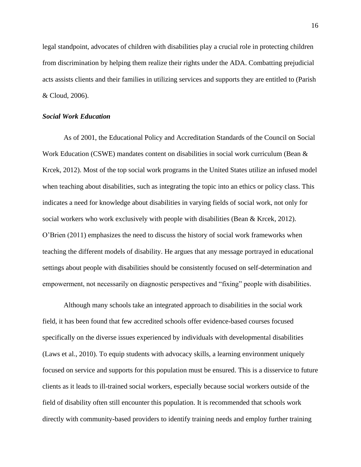legal standpoint, advocates of children with disabilities play a crucial role in protecting children from discrimination by helping them realize their rights under the ADA. Combatting prejudicial acts assists clients and their families in utilizing services and supports they are entitled to (Parish & Cloud, 2006).

## *Social Work Education*

As of 2001, the Educational Policy and Accreditation Standards of the Council on Social Work Education (CSWE) mandates content on disabilities in social work curriculum (Bean & Krcek, 2012). Most of the top social work programs in the United States utilize an infused model when teaching about disabilities, such as integrating the topic into an ethics or policy class. This indicates a need for knowledge about disabilities in varying fields of social work, not only for social workers who work exclusively with people with disabilities (Bean & Krcek, 2012). O'Brien (2011) emphasizes the need to discuss the history of social work frameworks when teaching the different models of disability. He argues that any message portrayed in educational settings about people with disabilities should be consistently focused on self-determination and empowerment, not necessarily on diagnostic perspectives and "fixing" people with disabilities.

Although many schools take an integrated approach to disabilities in the social work field, it has been found that few accredited schools offer evidence-based courses focused specifically on the diverse issues experienced by individuals with developmental disabilities (Laws et al., 2010). To equip students with advocacy skills, a learning environment uniquely focused on service and supports for this population must be ensured. This is a disservice to future clients as it leads to ill-trained social workers, especially because social workers outside of the field of disability often still encounter this population. It is recommended that schools work directly with community-based providers to identify training needs and employ further training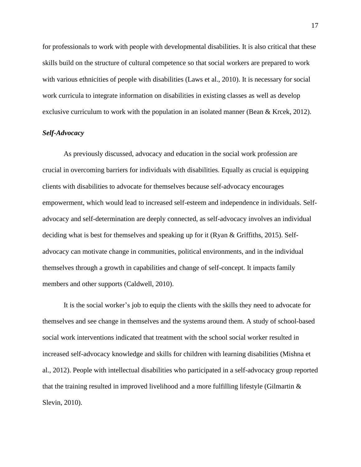for professionals to work with people with developmental disabilities. It is also critical that these skills build on the structure of cultural competence so that social workers are prepared to work with various ethnicities of people with disabilities (Laws et al., 2010). It is necessary for social work curricula to integrate information on disabilities in existing classes as well as develop exclusive curriculum to work with the population in an isolated manner (Bean & Krcek, 2012).

## *Self-Advocacy*

As previously discussed, advocacy and education in the social work profession are crucial in overcoming barriers for individuals with disabilities. Equally as crucial is equipping clients with disabilities to advocate for themselves because self-advocacy encourages empowerment, which would lead to increased self-esteem and independence in individuals. Selfadvocacy and self-determination are deeply connected, as self-advocacy involves an individual deciding what is best for themselves and speaking up for it (Ryan & Griffiths, 2015). Selfadvocacy can motivate change in communities, political environments, and in the individual themselves through a growth in capabilities and change of self-concept. It impacts family members and other supports (Caldwell, 2010).

It is the social worker's job to equip the clients with the skills they need to advocate for themselves and see change in themselves and the systems around them. A study of school-based social work interventions indicated that treatment with the school social worker resulted in increased self-advocacy knowledge and skills for children with learning disabilities (Mishna et al., 2012). People with intellectual disabilities who participated in a self-advocacy group reported that the training resulted in improved livelihood and a more fulfilling lifestyle (Gilmartin  $\&$ Slevin, 2010).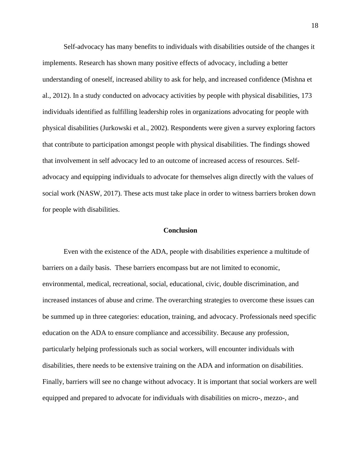Self-advocacy has many benefits to individuals with disabilities outside of the changes it implements. Research has shown many positive effects of advocacy, including a better understanding of oneself, increased ability to ask for help, and increased confidence (Mishna et al., 2012). In a study conducted on advocacy activities by people with physical disabilities, 173 individuals identified as fulfilling leadership roles in organizations advocating for people with physical disabilities (Jurkowski et al., 2002). Respondents were given a survey exploring factors that contribute to participation amongst people with physical disabilities. The findings showed that involvement in self advocacy led to an outcome of increased access of resources. Selfadvocacy and equipping individuals to advocate for themselves align directly with the values of social work (NASW, 2017). These acts must take place in order to witness barriers broken down for people with disabilities.

## **Conclusion**

Even with the existence of the ADA, people with disabilities experience a multitude of barriers on a daily basis. These barriers encompass but are not limited to economic, environmental, medical, recreational, social, educational, civic, double discrimination, and increased instances of abuse and crime. The overarching strategies to overcome these issues can be summed up in three categories: education, training, and advocacy. Professionals need specific education on the ADA to ensure compliance and accessibility. Because any profession, particularly helping professionals such as social workers, will encounter individuals with disabilities, there needs to be extensive training on the ADA and information on disabilities. Finally, barriers will see no change without advocacy. It is important that social workers are well equipped and prepared to advocate for individuals with disabilities on micro-, mezzo-, and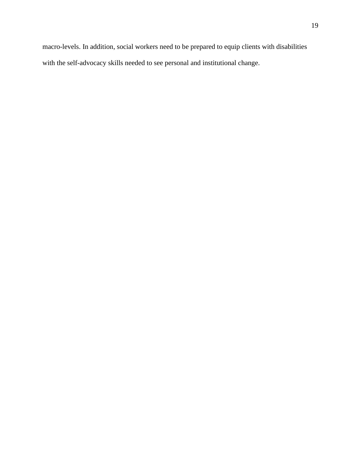macro-levels. In addition, social workers need to be prepared to equip clients with disabilities with the self-advocacy skills needed to see personal and institutional change.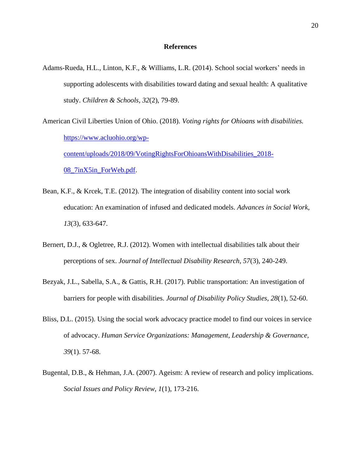## **References**

Adams-Rueda, H.L., Linton, K.F., & Williams, L.R. (2014). School social workers' needs in supporting adolescents with disabilities toward dating and sexual health: A qualitative study. *Children & Schools, 32*(2), 79-89.

American Civil Liberties Union of Ohio. (2018). *Voting rights for Ohioans with disabilities.*  [https://www.acluohio.org/wp](https://www.acluohio.org/wp-content/uploads/2018/09/VotingRightsForOhioansWithDisabilities_2018-08_7inX5in_ForWeb.pdf)[content/uploads/2018/09/VotingRightsForOhioansWithDisabilities\\_2018-](https://www.acluohio.org/wp-content/uploads/2018/09/VotingRightsForOhioansWithDisabilities_2018-08_7inX5in_ForWeb.pdf) [08\\_7inX5in\\_ForWeb.pdf.](https://www.acluohio.org/wp-content/uploads/2018/09/VotingRightsForOhioansWithDisabilities_2018-08_7inX5in_ForWeb.pdf)

- Bean, K.F., & Krcek, T.E. (2012). The integration of disability content into social work education: An examination of infused and dedicated models. *Advances in Social Work, 13*(3), 633-647.
- Bernert, D.J., & Ogletree, R.J. (2012). Women with intellectual disabilities talk about their perceptions of sex. *Journal of Intellectual Disability Research, 57*(3), 240-249.
- Bezyak, J.L., Sabella, S.A., & Gattis, R.H. (2017). Public transportation: An investigation of barriers for people with disabilities. *Journal of Disability Policy Studies, 28*(1), 52-60.
- Bliss, D.L. (2015). Using the social work advocacy practice model to find our voices in service of advocacy. *Human Service Organizations: Management, Leadership & Governance, 39*(1). 57-68.
- Bugental, D.B., & Hehman, J.A. (2007). Ageism: A review of research and policy implications. *Social Issues and Policy Review, 1*(1), 173-216.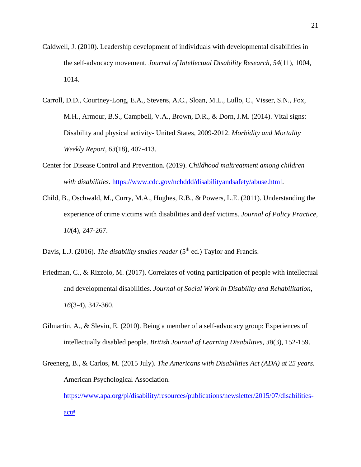- Caldwell, J. (2010). Leadership development of individuals with developmental disabilities in the self-advocacy movement. *Journal of Intellectual Disability Research, 54*(11), 1004, 1014.
- Carroll, D.D., Courtney-Long, E.A., Stevens, A.C., Sloan, M.L., Lullo, C., Visser, S.N., Fox, M.H., Armour, B.S., Campbell, V.A., Brown, D.R., & Dorn, J.M. (2014). Vital signs: Disability and physical activity- United States, 2009-2012. *Morbidity and Mortality Weekly Report, 63*(18), 407-413.
- Center for Disease Control and Prevention. (2019). *Childhood maltreatment among children with disabilities.* [https://www.cdc.gov/ncbddd/disabilityandsafety/abuse.html.](https://www.cdc.gov/ncbddd/disabilityandsafety/abuse.html)
- Child, B., Oschwald, M., Curry, M.A., Hughes, R.B., & Powers, L.E. (2011). Understanding the experience of crime victims with disabilities and deaf victims. *Journal of Policy Practice, 10*(4), 247-267.
- Davis, L.J. (2016). *The disability studies reader* (5<sup>th</sup> ed.) Taylor and Francis.
- Friedman, C., & Rizzolo, M. (2017). Correlates of voting participation of people with intellectual and developmental disabilities. *Journal of Social Work in Disability and Rehabilitation, 16*(3-4), 347-360.
- Gilmartin, A., & Slevin, E. (2010). Being a member of a self-advocacy group: Experiences of intellectually disabled people. *British Journal of Learning Disabilities, 38*(3), 152-159.
- Greenerg, B., & Carlos, M. (2015 July). *The Americans with Disabilities Act (ADA) at 25 years.* American Psychological Association. [https://www.apa.org/pi/disability/resources/publications/newsletter/2015/07/disabilities](https://www.apa.org/pi/disability/resources/publications/newsletter/2015/07/disabilities-act)[act#](https://www.apa.org/pi/disability/resources/publications/newsletter/2015/07/disabilities-act)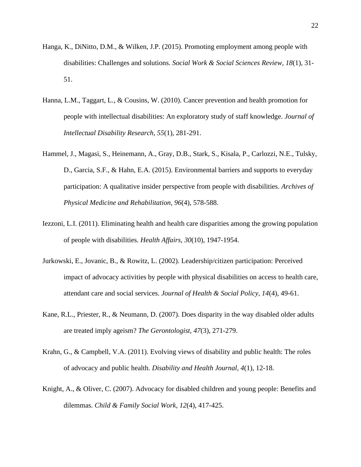- Hanga, K., DiNitto, D.M., & Wilken, J.P. (2015). Promoting employment among people with disabilities: Challenges and solutions. *Social Work & Social Sciences Review, 18*(1), 31- 51.
- Hanna, L.M., Taggart, L., & Cousins, W. (2010). Cancer prevention and health promotion for people with intellectual disabilities: An exploratory study of staff knowledge*. Journal of Intellectual Disability Research, 55*(1), 281-291.
- Hammel, J., Magasi, S., Heinemann, A., Gray, D.B., Stark, S., Kisala, P., Carlozzi, N.E., Tulsky, D., Garcia, S.F., & Hahn, E.A. (2015). Environmental barriers and supports to everyday participation: A qualitative insider perspective from people with disabilities. *Archives of Physical Medicine and Rehabilitation, 96*(4), 578-588.
- Iezzoni, L.I. (2011). Eliminating health and health care disparities among the growing population of people with disabilities. *Health Affairs, 30*(10), 1947-1954.
- Jurkowski, E., Jovanic, B., & Rowitz, L. (2002). Leadership/citizen participation: Perceived impact of advocacy activities by people with physical disabilities on access to health care, attendant care and social services. *Journal of Health & Social Policy, 14*(4), 49-61.
- Kane, R.L., Priester, R., & Neumann, D. (2007). Does disparity in the way disabled older adults are treated imply ageism? *The Gerontologist, 47*(3), 271-279.
- Krahn, G., & Campbell, V.A. (2011). Evolving views of disability and public health: The roles of advocacy and public health. *Disability and Health Journal, 4*(1), 12-18.
- Knight, A., & Oliver, C. (2007). Advocacy for disabled children and young people: Benefits and dilemmas. *Child & Family Social Work, 12*(4), 417-425.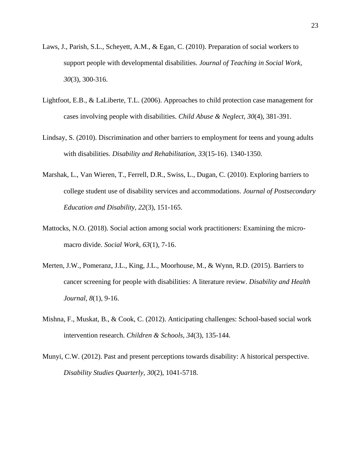- Laws, J., Parish, S.L., Scheyett, A.M., & Egan, C. (2010). Preparation of social workers to support people with developmental disabilities. *Journal of Teaching in Social Work, 30*(3), 300-316.
- Lightfoot, E.B., & LaLiberte, T.L. (2006). Approaches to child protection case management for cases involving people with disabilities. *Child Abuse & Neglect, 30*(4), 381-391.
- Lindsay, S. (2010). Discrimination and other barriers to employment for teens and young adults with disabilities. *Disability and Rehabilitation, 33*(15-16). 1340-1350.
- Marshak, L., Van Wieren, T., Ferrell, D.R., Swiss, L., Dugan, C. (2010). Exploring barriers to college student use of disability services and accommodations. *Journal of Postsecondary Education and Disability, 22*(3), 151-165.
- Mattocks, N.O. (2018). Social action among social work practitioners: Examining the micromacro divide. *Social Work, 63*(1), 7-16.
- Merten, J.W., Pomeranz, J.L., King, J.L., Moorhouse, M., & Wynn, R.D. (2015). Barriers to cancer screening for people with disabilities: A literature review. *Disability and Health Journal, 8*(1), 9-16.
- Mishna, F., Muskat, B., & Cook, C. (2012). Anticipating challenges: School-based social work intervention research. *Children & Schools, 34*(3), 135-144.
- Munyi, C.W. (2012). Past and present perceptions towards disability: A historical perspective. *Disability Studies Quarterly, 30*(2), 1041-5718.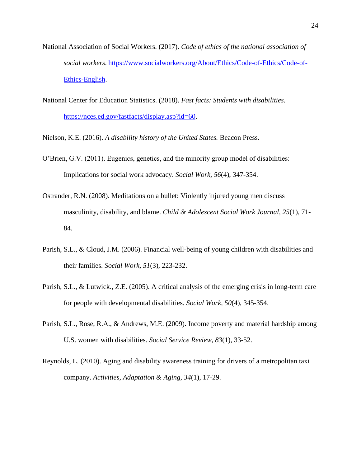- National Association of Social Workers. (2017). *Code of ethics of the national association of social workers.* [https://www.socialworkers.org/About/Ethics/Code-of-Ethics/Code-of-](https://www.socialworkers.org/About/Ethics/Code-of-Ethics/Code-of-Ethics-English)[Ethics-English.](https://www.socialworkers.org/About/Ethics/Code-of-Ethics/Code-of-Ethics-English)
- National Center for Education Statistics. (2018). *Fast facts: Students with disabilities.*  [https://nces.ed.gov/fastfacts/display.asp?id=60.](https://nces.ed.gov/fastfacts/display.asp?id=60)
- Nielson, K.E. (2016). *A disability history of the United States.* Beacon Press.
- O'Brien, G.V. (2011). Eugenics, genetics, and the minority group model of disabilities: Implications for social work advocacy. *Social Work, 56*(4), 347-354.
- Ostrander, R.N. (2008). Meditations on a bullet: Violently injured young men discuss masculinity, disability, and blame. *Child & Adolescent Social Work Journal, 25*(1), 71- 84.
- Parish, S.L., & Cloud, J.M. (2006). Financial well-being of young children with disabilities and their families. *Social Work, 51*(3), 223-232.
- Parish, S.L., & Lutwick., Z.E. (2005). A critical analysis of the emerging crisis in long-term care for people with developmental disabilities. *Social Work, 50*(4), 345-354.
- Parish, S.L., Rose, R.A., & Andrews, M.E. (2009). Income poverty and material hardship among U.S. women with disabilities. *Social Service Review, 83*(1), 33-52.
- Reynolds, L. (2010). Aging and disability awareness training for drivers of a metropolitan taxi company. *Activities, Adaptation & Aging, 34*(1), 17-29.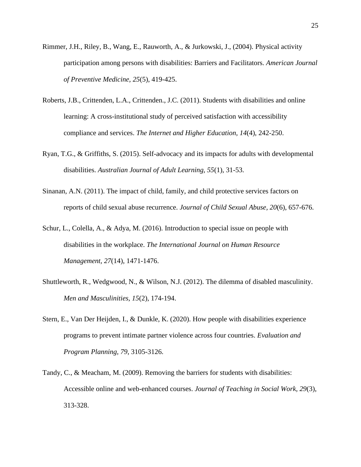- Rimmer, J.H., Riley, B., Wang, E., Rauworth, A., & Jurkowski, J., (2004). Physical activity participation among persons with disabilities: Barriers and Facilitators. *American Journal of Preventive Medicine, 25*(5), 419-425.
- Roberts, J.B., Crittenden, L.A., Crittenden., J.C. (2011). Students with disabilities and online learning: A cross-institutional study of perceived satisfaction with accessibility compliance and services. *The Internet and Higher Education, 14*(4), 242-250.
- Ryan, T.G., & Griffiths, S. (2015). Self-advocacy and its impacts for adults with developmental disabilities. *Australian Journal of Adult Learning, 55*(1), 31-53.
- Sinanan, A.N. (2011). The impact of child, family, and child protective services factors on reports of child sexual abuse recurrence. *Journal of Child Sexual Abuse, 20*(6), 657-676.
- Schur, L., Colella, A., & Adya, M. (2016). Introduction to special issue on people with disabilities in the workplace. *The International Journal on Human Resource Management, 27*(14), 1471-1476.
- Shuttleworth, R., Wedgwood, N., & Wilson, N.J. (2012). The dilemma of disabled masculinity. *Men and Masculinities, 15*(2), 174-194.
- Stern, E., Van Der Heijden, I., & Dunkle, K. (2020). How people with disabilities experience programs to prevent intimate partner violence across four countries. *Evaluation and Program Planning, 79*, 3105-3126.
- Tandy, C., & Meacham, M. (2009). Removing the barriers for students with disabilities: Accessible online and web-enhanced courses. *Journal of Teaching in Social Work, 29*(3), 313-328.